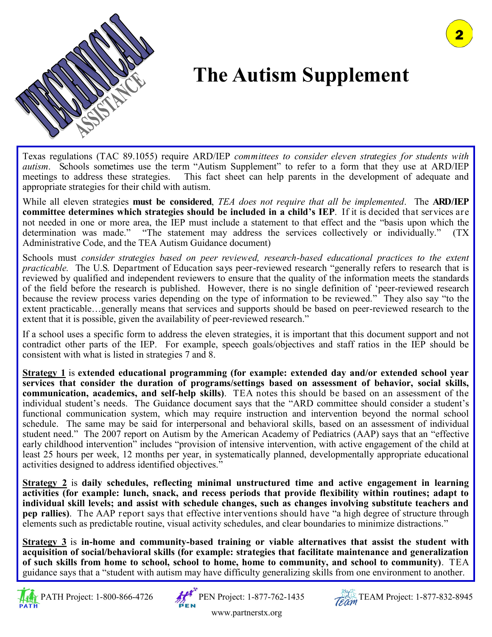

## **The Autism Supplement**

Texas regulations (TAC 89.1055) require ARD/IEP *committees to consider eleven strategies for students with autism*. Schools sometimes use the term "Autism Supplement" to refer to a form that they use at ARD/IEP meetings to address these strategies. This fact sheet can help parents in the development of adequate and appropriate strategies for their child with autism.

While all eleven strategies **must be considered**, *TEA does not require that all be implemented*. The **ARD/IEP committee determines which strategies should be included in a child's IEP**. If it is decided that services are not needed in one or more area, the IEP must include a statement to that effect and the "basis upon which the determination was made." "The statement may address the services collectively or individually." (TX Administrative Code, and the TEA Autism Guidance document)

Schools must *consider strategies based on peer reviewed, research-based educational practices to the extent practicable.* The U.S. Department of Education says peer-reviewed research "generally refers to research that is reviewed by qualified and independent reviewers to ensure that the quality of the information meets the standards of the field before the research is published. However, there is no single definition of 'peer-reviewed research because the review process varies depending on the type of information to be reviewed." They also say "to the extent practicable…generally means that services and supports should be based on peer-reviewed research to the extent that it is possible, given the availability of peer-reviewed research."

If a school uses a specific form to address the eleven strategies, it is important that this document support and not contradict other parts of the IEP. For example, speech goals/objectives and staff ratios in the IEP should be consistent with what is listed in strategies 7 and 8.

**Strategy 1** is **extended educational programming (for example: extended day and/or extended school year services that consider the duration of programs/settings based on assessment of behavior, social skills, communication, academics, and self-help skills)**. TEA notes this should be based on an assessment of the individual student's needs. The Guidance document says that the "ARD committee should consider a student's functional communication system, which may require instruction and intervention beyond the normal school schedule. The same may be said for interpersonal and behavioral skills, based on an assessment of individual student need." The 2007 report on Autism by the American Academy of Pediatrics (AAP) says that an "effective early childhood intervention" includes "provision of intensive intervention, with active engagement of the child at least 25 hours per week, 12 months per year, in systematically planned, developmentally appropriate educational activities designed to address identified objectives."

**Strategy 2** is **daily schedules, reflecting minimal unstructured time and active engagement in learning activities (for example: lunch, snack, and recess periods that provide flexibility within routines; adapt to individual skill levels; and assist with schedule changes, such as changes involving substitute teachers and pep rallies)**. The AAP report says that effective interventions should have "a high degree of structure through elements such as predictable routine, visual activity schedules, and clear boundaries to minimize distractions."

**Strategy 3** is **in-home and community-based training or viable alternatives that assist the student with acquisition of social/behavioral skills (for example: strategies that facilitate maintenance and generalization of such skills from home to school, school to home, home to community, and school to community)**. TEA guidance says that a "student with autism may have difficulty generalizing skills from one environment to another.





www.partnerstx.org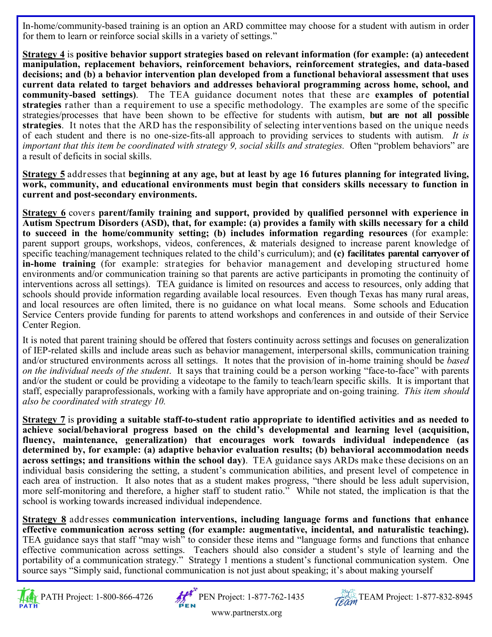In-home/community-based training is an option an ARD committee may choose for a student with autism in order for them to learn or reinforce social skills in a variety of settings."

**Strategy 4** is **positive behavior support strategies based on relevant information (for example: (a) antecedent manipulation, replacement behaviors, reinforcement behaviors, reinforcement strategies, and data-based decisions; and (b) a behavior intervention plan developed from a functional behavioral assessment that uses current data related to target behaviors and addresses behavioral programming across home, school, and community-based settings)**. The TEA guidance document notes that these are **examples of potential strategies** rather than a requirement to use a specific methodology. The examples are some of the specific strategies/processes that have been shown to be effective for students with autism, **but are not all possible strategies**. It notes that the ARD has the responsibility of selecting interventions based on the unique needs of each student and there is no one-size-fits-all approach to providing services to students with autism*. It is important that this item be coordinated with strategy 9, social skills and strategies.* Often "problem behaviors" are a result of deficits in social skills.

**Strategy 5** addresses that **beginning at any age, but at least by age 16 futures planning for integrated living, work, community, and educational environments must begin that considers skills necessary to function in current and post-secondary environments.** 

**Strategy 6** covers **parent/family training and support, provided by qualified personnel with experience in Autism Spectrum Disorders (ASD), that, for example: (a) provides a family with skills necessary for a child to succeed in the home/community setting; (b) includes information regarding resources** (for example: parent support groups, workshops, videos, conferences, & materials designed to increase parent knowledge of specific teaching/management techniques related to the child's curriculum); and **(c) facilitates parental carryover of in-home training** (for example: strategies for behavior management and developing structured home environments and/or communication training so that parents are active participants in promoting the continuity of interventions across all settings). TEA guidance is limited on resources and access to resources, only adding that schools should provide information regarding available local resources. Even though Texas has many rural areas, and local resources are often limited, there is no guidance on what local means. Some schools and Education Service Centers provide funding for parents to attend workshops and conferences in and outside of their Service Center Region.

It is noted that parent training should be offered that fosters continuity across settings and focuses on generalization of IEP-related skills and include areas such as behavior management, interpersonal skills, communication training and/or structured environments across all settings. It notes that the provision of in-home training should be *based on the individual needs of the student*. It says that training could be a person working "face-to-face" with parents and/or the student or could be providing a videotape to the family to teach/learn specific skills. It is important that staff, especially paraprofessionals, working with a family have appropriate and on-going training. *This item should also be coordinated with strategy 10.*

**Strategy 7** is **providing a suitable staff-to-student ratio appropriate to identified activities and as needed to achieve social/behavioral progress based on the child's developmental and learning level (acquisition, fluency, maintenance, generalization) that encourages work towards individual independence (as determined by, for example: (a) adaptive behavior evaluation results; (b) behavioral accommodation needs across settings; and transitions within the school day)**. TEA guidance says ARDs make these decisions on an individual basis considering the setting, a student's communication abilities, and present level of competence in each area of instruction. It also notes that as a student makes progress, "there should be less adult supervision, more self-monitoring and therefore, a higher staff to student ratio." While not stated, the implication is that the school is working towards increased individual independence.

**Strategy 8** addresses **communication interventions, including language forms and functions that enhance effective communication across setting (for example: augmentative, incidental, and naturalistic teaching).** TEA guidance says that staff "may wish" to consider these items and "language forms and functions that enhance effective communication across settings. Teachers should also consider a student's style of learning and the portability of a communication strategy." Strategy 1 mentions a student's functional communication system. One source says "Simply said, functional communication is not just about speaking; it's about making yourself